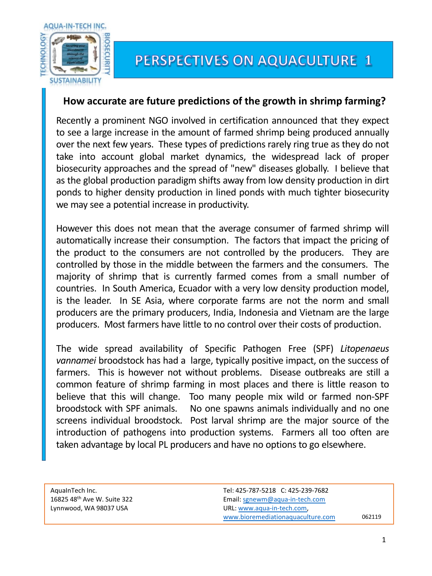

## **How accurate are future predictions of the growth in shrimp farming?**

Recently a prominent NGO involved in certification announced that they expect to see a large increase in the amount of farmed shrimp being produced annually over the next few years. These types of predictions rarely ring true as they do not take into account global market dynamics, the widespread lack of proper biosecurity approaches and the spread of "new" diseases globally. I believe that as the global production paradigm shifts away from low density production in dirt ponds to higher density production in lined ponds with much tighter biosecurity we may see a potential increase in productivity.

However this does not mean that the average consumer of farmed shrimp will automatically increase their consumption. The factors that impact the pricing of the product to the consumers are not controlled by the producers. They are controlled by those in the middle between the farmers and the consumers. The majority of shrimp that is currently farmed comes from a small number of countries. In South America, Ecuador with a very low density production model, is the leader. In SE Asia, where corporate farms are not the norm and small producers are the primary producers, India, Indonesia and Vietnam are the large producers. Most farmers have little to no control over their costs of production.

The wide spread availability of Specific Pathogen Free (SPF) *Litopenaeus vannamei* broodstock has had a large, typically positive impact, on the success of farmers. This is however not without problems. Disease outbreaks are still a common feature of shrimp farming in most places and there is little reason to believe that this will change. Too many people mix wild or farmed non-SPF broodstock with SPF animals. No one spawns animals individually and no one screens individual broodstock. Post larval shrimp are the major source of the introduction of pathogens into production systems. Farmers all too often are taken advantage by local PL producers and have no options to go elsewhere.

| AguaInTech Inc.                         |
|-----------------------------------------|
| 16825 48 <sup>th</sup> Ave W. Suite 322 |
| Lynnwood, WA 98037 USA                  |

062119